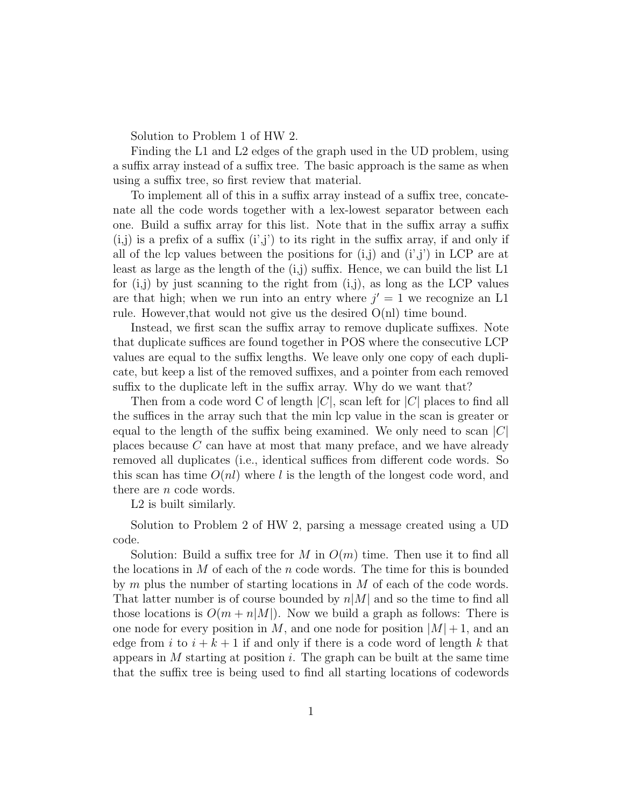Solution to Problem 1 of HW 2.

Finding the L1 and L2 edges of the graph used in the UD problem, using a suffix array instead of a suffix tree. The basic approach is the same as when using a suffix tree, so first review that material.

To implement all of this in a suffix array instead of a suffix tree, concatenate all the code words together with a lex-lowest separator between each one. Build a suffix array for this list. Note that in the suffix array a suffix  $(i,j)$  is a prefix of a suffix  $(i',j')$  to its right in the suffix array, if and only if all of the lcp values between the positions for  $(i,j)$  and  $(i',j')$  in LCP are at least as large as the length of the  $(i,j)$  suffix. Hence, we can build the list L1 for  $(i,j)$  by just scanning to the right from  $(i,j)$ , as long as the LCP values are that high; when we run into an entry where  $j' = 1$  we recognize an L1 rule. However, that would not give us the desired  $O(n)$  time bound.

Instead, we first scan the suffix array to remove duplicate suffixes. Note that duplicate suffices are found together in POS where the consecutive LCP values are equal to the suffix lengths. We leave only one copy of each duplicate, but keep a list of the removed suffixes, and a pointer from each removed suffix to the duplicate left in the suffix array. Why do we want that?

Then from a code word C of length  $|C|$ , scan left for  $|C|$  places to find all the suffices in the array such that the min lcp value in the scan is greater or equal to the length of the suffix being examined. We only need to scan  $|C|$ places because C can have at most that many preface, and we have already removed all duplicates (i.e., identical suffices from different code words. So this scan has time  $O(nl)$  where l is the length of the longest code word, and there are *n* code words.

L2 is built similarly.

Solution to Problem 2 of HW 2, parsing a message created using a UD code.

Solution: Build a suffix tree for M in  $O(m)$  time. Then use it to find all the locations in  $M$  of each of the n code words. The time for this is bounded by  $m$  plus the number of starting locations in  $M$  of each of the code words. That latter number is of course bounded by  $n|M|$  and so the time to find all those locations is  $O(m + n|M|)$ . Now we build a graph as follows: There is one node for every position in M, and one node for position  $|M|+1$ , and an edge from i to  $i + k + 1$  if and only if there is a code word of length k that appears in  $M$  starting at position i. The graph can be built at the same time that the suffix tree is being used to find all starting locations of codewords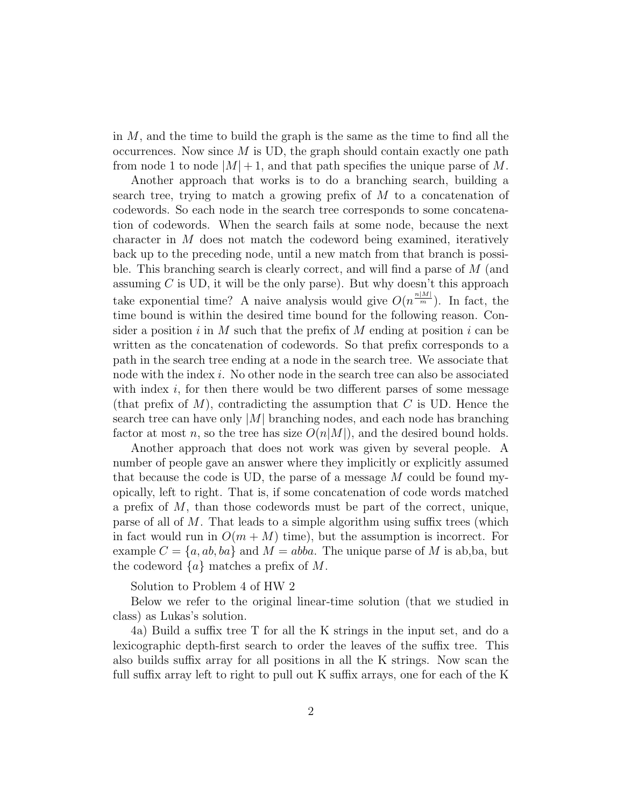in  $M$ , and the time to build the graph is the same as the time to find all the occurrences. Now since  $M$  is UD, the graph should contain exactly one path from node 1 to node  $|M|+1$ , and that path specifies the unique parse of M.

Another approach that works is to do a branching search, building a search tree, trying to match a growing prefix of M to a concatenation of codewords. So each node in the search tree corresponds to some concatenation of codewords. When the search fails at some node, because the next character in M does not match the codeword being examined, iteratively back up to the preceding node, until a new match from that branch is possible. This branching search is clearly correct, and will find a parse of M (and assuming  $C$  is UD, it will be the only parse). But why doesn't this approach take exponential time? A naive analysis would give  $O(n^{\frac{n|M|}{m}})$ . In fact, the time bound is within the desired time bound for the following reason. Consider a position i in M such that the prefix of M ending at position i can be written as the concatenation of codewords. So that prefix corresponds to a path in the search tree ending at a node in the search tree. We associate that node with the index  $i$ . No other node in the search tree can also be associated with index  $i$ , for then there would be two different parses of some message (that prefix of  $M$ ), contradicting the assumption that  $C$  is UD. Hence the search tree can have only  $|M|$  branching nodes, and each node has branching factor at most n, so the tree has size  $O(n|M|)$ , and the desired bound holds.

Another approach that does not work was given by several people. A number of people gave an answer where they implicitly or explicitly assumed that because the code is UD, the parse of a message  $M$  could be found myopically, left to right. That is, if some concatenation of code words matched a prefix of  $M$ , than those codewords must be part of the correct, unique, parse of all of M. That leads to a simple algorithm using suffix trees (which in fact would run in  $O(m + M)$  time), but the assumption is incorrect. For example  $C = \{a, ab, ba\}$  and  $M = abba$ . The unique parse of M is ab, ba, but the codeword  $\{a\}$  matches a prefix of M.

Solution to Problem 4 of HW 2

Below we refer to the original linear-time solution (that we studied in class) as Lukas's solution.

4a) Build a suffix tree T for all the K strings in the input set, and do a lexicographic depth-first search to order the leaves of the suffix tree. This also builds suffix array for all positions in all the K strings. Now scan the full suffix array left to right to pull out K suffix arrays, one for each of the K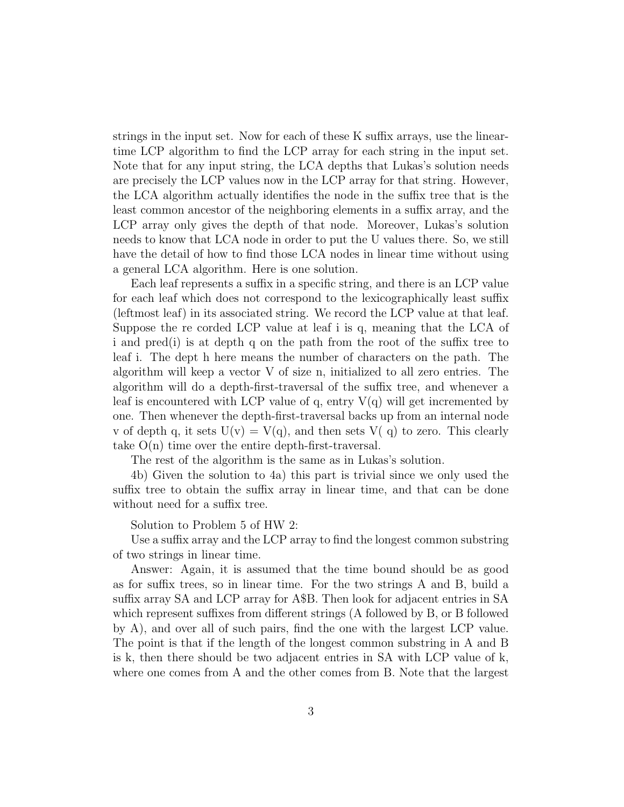strings in the input set. Now for each of these K suffix arrays, use the lineartime LCP algorithm to find the LCP array for each string in the input set. Note that for any input string, the LCA depths that Lukas's solution needs are precisely the LCP values now in the LCP array for that string. However, the LCA algorithm actually identifies the node in the suffix tree that is the least common ancestor of the neighboring elements in a suffix array, and the LCP array only gives the depth of that node. Moreover, Lukas's solution needs to know that LCA node in order to put the U values there. So, we still have the detail of how to find those LCA nodes in linear time without using a general LCA algorithm. Here is one solution.

Each leaf represents a suffix in a specific string, and there is an LCP value for each leaf which does not correspond to the lexicographically least suffix (leftmost leaf) in its associated string. We record the LCP value at that leaf. Suppose the re corded LCP value at leaf i is q, meaning that the LCA of i and pred(i) is at depth q on the path from the root of the suffix tree to leaf i. The dept h here means the number of characters on the path. The algorithm will keep a vector V of size n, initialized to all zero entries. The algorithm will do a depth-first-traversal of the suffix tree, and whenever a leaf is encountered with LCP value of q, entry  $V(q)$  will get incremented by one. Then whenever the depth-first-traversal backs up from an internal node v of depth q, it sets  $U(v) = V(q)$ , and then sets  $V(q)$  to zero. This clearly take O(n) time over the entire depth-first-traversal.

The rest of the algorithm is the same as in Lukas's solution.

4b) Given the solution to 4a) this part is trivial since we only used the suffix tree to obtain the suffix array in linear time, and that can be done without need for a suffix tree.

Solution to Problem 5 of HW 2:

Use a suffix array and the LCP array to find the longest common substring of two strings in linear time.

Answer: Again, it is assumed that the time bound should be as good as for suffix trees, so in linear time. For the two strings A and B, build a suffix array SA and LCP array for A\$B. Then look for adjacent entries in SA which represent suffixes from different strings (A followed by B, or B followed by A), and over all of such pairs, find the one with the largest LCP value. The point is that if the length of the longest common substring in A and B is k, then there should be two adjacent entries in SA with LCP value of k, where one comes from A and the other comes from B. Note that the largest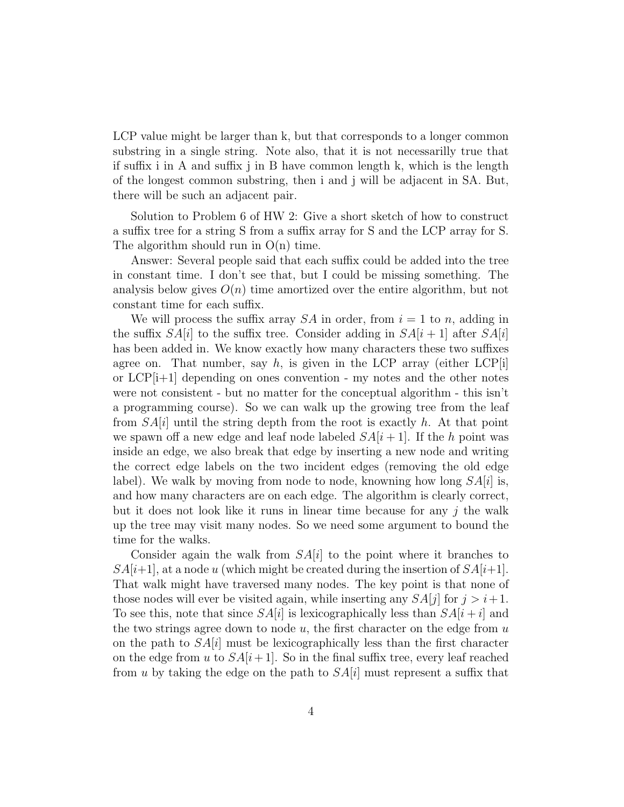LCP value might be larger than k, but that corresponds to a longer common substring in a single string. Note also, that it is not necessarilly true that if suffix i in A and suffix j in B have common length k, which is the length of the longest common substring, then i and j will be adjacent in SA. But, there will be such an adjacent pair.

Solution to Problem 6 of HW 2: Give a short sketch of how to construct a suffix tree for a string S from a suffix array for S and the LCP array for S. The algorithm should run in  $O(n)$  time.

Answer: Several people said that each suffix could be added into the tree in constant time. I don't see that, but I could be missing something. The analysis below gives  $O(n)$  time amortized over the entire algorithm, but not constant time for each suffix.

We will process the suffix array  $SA$  in order, from  $i = 1$  to n, adding in the suffix  $SA[i]$  to the suffix tree. Consider adding in  $SA[i+1]$  after  $SA[i]$ has been added in. We know exactly how many characters these two suffixes agree on. That number, say  $h$ , is given in the LCP array (either LCP[i] or  $LCP[i+1]$  depending on ones convention - my notes and the other notes were not consistent - but no matter for the conceptual algorithm - this isn't a programming course). So we can walk up the growing tree from the leaf from  $SA[i]$  until the string depth from the root is exactly h. At that point we spawn off a new edge and leaf node labeled  $SA[i+1]$ . If the h point was inside an edge, we also break that edge by inserting a new node and writing the correct edge labels on the two incident edges (removing the old edge label). We walk by moving from node to node, knowning how long  $SA[i]$  is, and how many characters are on each edge. The algorithm is clearly correct, but it does not look like it runs in linear time because for any j the walk up the tree may visit many nodes. So we need some argument to bound the time for the walks.

Consider again the walk from  $SA[i]$  to the point where it branches to  $SA[i+1]$ , at a node u (which might be created during the insertion of  $SA[i+1]$ . That walk might have traversed many nodes. The key point is that none of those nodes will ever be visited again, while inserting any  $SA[j]$  for  $j > i+1$ . To see this, note that since  $SA[i]$  is lexicographically less than  $SA[i+i]$  and the two strings agree down to node  $u$ , the first character on the edge from  $u$ on the path to  $SA[i]$  must be lexicographically less than the first character on the edge from u to  $SA[i+1]$ . So in the final suffix tree, every leaf reached from u by taking the edge on the path to  $SA[i]$  must represent a suffix that